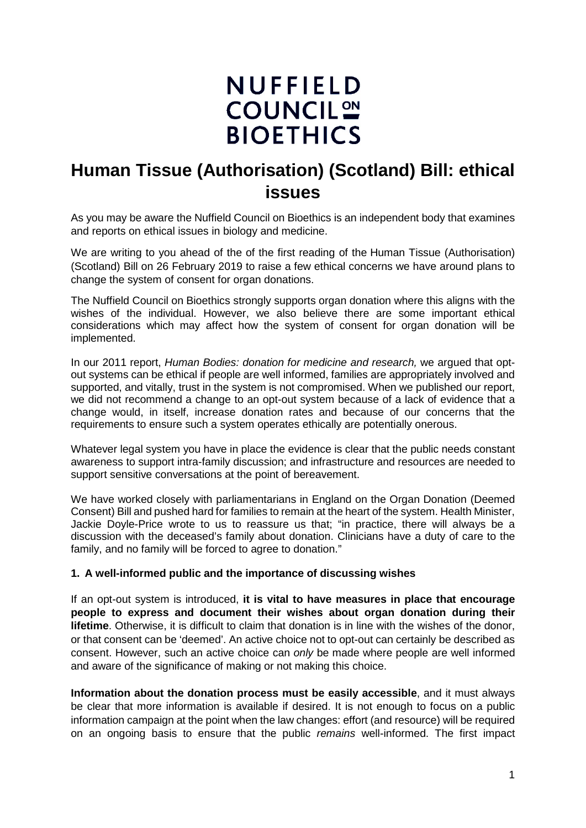# **NUFFIELD COUNCIL ON BIOETHICS**

## **Human Tissue (Authorisation) (Scotland) Bill: ethical issues**

As you may be aware the Nuffield Council on Bioethics is an independent body that examines and reports on ethical issues in biology and medicine.

We are writing to you ahead of the of the first reading of the Human Tissue (Authorisation) (Scotland) Bill on 26 February 2019 to raise a few ethical concerns we have around plans to change the system of consent for organ donations.

The Nuffield Council on Bioethics strongly supports organ donation where this aligns with the wishes of the individual. However, we also believe there are some important ethical considerations which may affect how the system of consent for organ donation will be implemented.

In our 2011 report, *Human Bodies: donation for medicine and research,* we argued that optout systems can be ethical if people are well informed, families are appropriately involved and supported, and vitally, trust in the system is not compromised. When we published our report, we did not recommend a change to an opt-out system because of a lack of evidence that a change would, in itself, increase donation rates and because of our concerns that the requirements to ensure such a system operates ethically are potentially onerous.

Whatever legal system you have in place the evidence is clear that the public needs constant awareness to support intra-family discussion; and infrastructure and resources are needed to support sensitive conversations at the point of bereavement.

We have worked closely with parliamentarians in England on the Organ Donation (Deemed Consent) Bill and pushed hard for families to remain at the heart of the system. Health Minister, Jackie Doyle-Price wrote to us to reassure us that; "in practice, there will always be a discussion with the deceased's family about donation. Clinicians have a duty of care to the family, and no family will be forced to agree to donation."

#### **1. A well-informed public and the importance of discussing wishes**

If an opt-out system is introduced, **it is vital to have measures in place that encourage people to express and document their wishes about organ donation during their lifetime**. Otherwise, it is difficult to claim that donation is in line with the wishes of the donor, or that consent can be 'deemed'. An active choice not to opt-out can certainly be described as consent. However, such an active choice can *only* be made where people are well informed and aware of the significance of making or not making this choice.

**Information about the donation process must be easily accessible**, and it must always be clear that more information is available if desired. It is not enough to focus on a public information campaign at the point when the law changes: effort (and resource) will be required on an ongoing basis to ensure that the public *remains* well-informed. The first impact